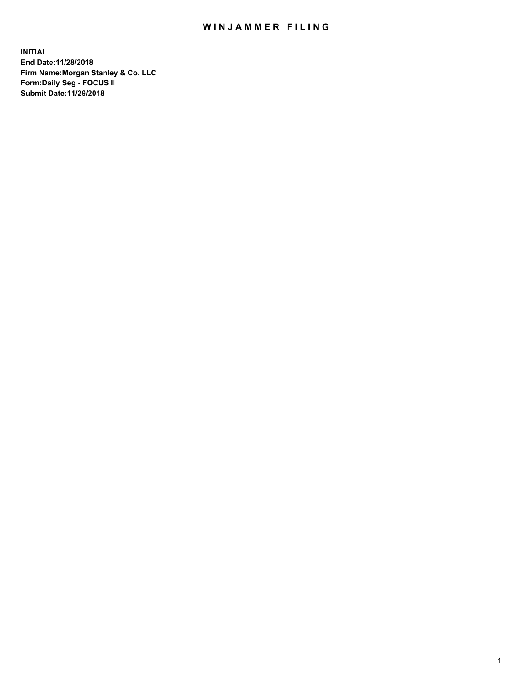## WIN JAMMER FILING

**INITIAL End Date:11/28/2018 Firm Name:Morgan Stanley & Co. LLC Form:Daily Seg - FOCUS II Submit Date:11/29/2018**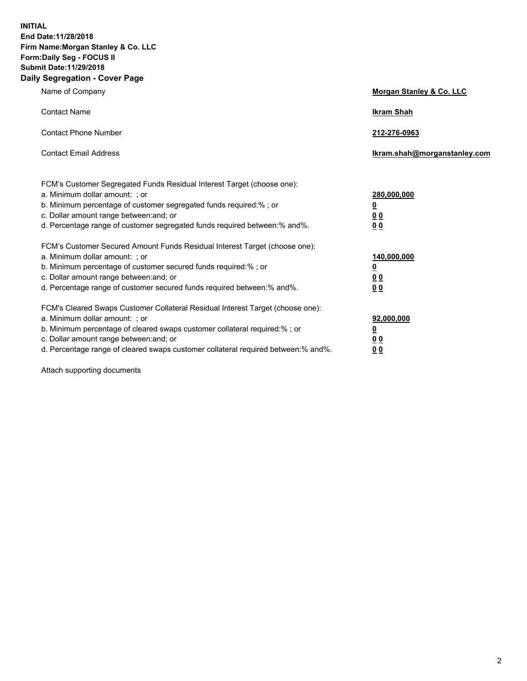**INITIAL End Date:11/28/2018 Firm Name:Morgan Stanley & Co. LLC Form:Daily Seg - FOCUS II Submit Date:11/29/2018 Daily Segregation - Cover Page**

| Name of Company                                                                                                                                                                                                                                                                                                                | Morgan Stanley & Co. LLC                               |
|--------------------------------------------------------------------------------------------------------------------------------------------------------------------------------------------------------------------------------------------------------------------------------------------------------------------------------|--------------------------------------------------------|
| <b>Contact Name</b>                                                                                                                                                                                                                                                                                                            | <b>Ikram Shah</b>                                      |
| <b>Contact Phone Number</b>                                                                                                                                                                                                                                                                                                    | 212-276-0963                                           |
| <b>Contact Email Address</b>                                                                                                                                                                                                                                                                                                   | lkram.shah@morganstanley.com                           |
| FCM's Customer Segregated Funds Residual Interest Target (choose one):<br>a. Minimum dollar amount: : or<br>b. Minimum percentage of customer segregated funds required:% ; or<br>c. Dollar amount range between: and; or<br>d. Percentage range of customer segregated funds required between:% and%.                         | 280,000,000<br><u>0</u><br>00<br>00                    |
| FCM's Customer Secured Amount Funds Residual Interest Target (choose one):<br>a. Minimum dollar amount: ; or<br>b. Minimum percentage of customer secured funds required:%; or<br>c. Dollar amount range between: and; or<br>d. Percentage range of customer secured funds required between:% and%.                            | 140,000,000<br><u>0</u><br><u>00</u><br>0 <sub>0</sub> |
| FCM's Cleared Swaps Customer Collateral Residual Interest Target (choose one):<br>a. Minimum dollar amount: ; or<br>b. Minimum percentage of cleared swaps customer collateral required:% ; or<br>c. Dollar amount range between: and; or<br>d. Percentage range of cleared swaps customer collateral required between:% and%. | 92,000,000<br><u>0</u><br><u>00</u><br>0 <sub>0</sub>  |

Attach supporting documents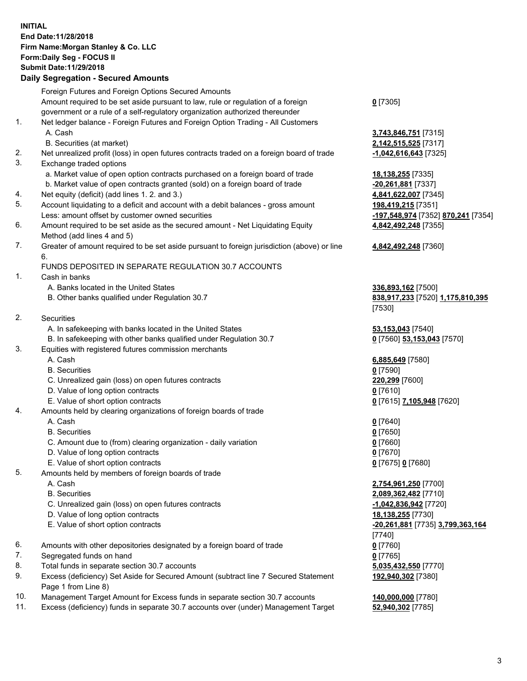## **INITIAL End Date:11/28/2018 Firm Name:Morgan Stanley & Co. LLC Form:Daily Seg - FOCUS II Submit Date:11/29/2018**

## **Daily Segregation - Secured Amounts**

|    | Foreign Futures and Foreign Options Secured Amounts                                         |                                    |
|----|---------------------------------------------------------------------------------------------|------------------------------------|
|    | Amount required to be set aside pursuant to law, rule or regulation of a foreign            | $0$ [7305]                         |
|    | government or a rule of a self-regulatory organization authorized thereunder                |                                    |
| 1. | Net ledger balance - Foreign Futures and Foreign Option Trading - All Customers             |                                    |
|    | A. Cash                                                                                     | 3,743,846,751 [7315]               |
|    | B. Securities (at market)                                                                   | 2,142,515,525 [7317]               |
| 2. | Net unrealized profit (loss) in open futures contracts traded on a foreign board of trade   | -1,042,616,643 <sup>[7325]</sup>   |
| 3. | Exchange traded options                                                                     |                                    |
|    | a. Market value of open option contracts purchased on a foreign board of trade              | 18,138,255 [7335]                  |
|    | b. Market value of open contracts granted (sold) on a foreign board of trade                | $-20,261,881$ [7337]               |
| 4. | Net equity (deficit) (add lines 1.2. and 3.)                                                | 4,841,622,007 [7345]               |
| 5. | Account liquidating to a deficit and account with a debit balances - gross amount           | 198,419,215 [7351]                 |
|    | Less: amount offset by customer owned securities                                            | -197,548,974 [7352] 870,241 [7354] |
| 6. | Amount required to be set aside as the secured amount - Net Liquidating Equity              | 4,842,492,248 [7355]               |
|    | Method (add lines 4 and 5)                                                                  |                                    |
| 7. | Greater of amount required to be set aside pursuant to foreign jurisdiction (above) or line | 4,842,492,248 [7360]               |
|    | 6.                                                                                          |                                    |
|    | FUNDS DEPOSITED IN SEPARATE REGULATION 30.7 ACCOUNTS                                        |                                    |
| 1. | Cash in banks                                                                               |                                    |
|    | A. Banks located in the United States                                                       | 336,893,162 [7500]                 |
|    | B. Other banks qualified under Regulation 30.7                                              | 838,917,233 [7520] 1,175,810,395   |
|    |                                                                                             | [7530]                             |
| 2. | Securities                                                                                  |                                    |
|    | A. In safekeeping with banks located in the United States                                   | 53,153,043 [7540]                  |
|    | B. In safekeeping with other banks qualified under Regulation 30.7                          | 0 [7560] 53,153,043 [7570]         |
| 3. | Equities with registered futures commission merchants                                       |                                    |
|    | A. Cash                                                                                     | 6,885,649 [7580]                   |
|    | <b>B.</b> Securities                                                                        | $0$ [7590]                         |
|    | C. Unrealized gain (loss) on open futures contracts                                         | 220,299 [7600]                     |
|    | D. Value of long option contracts                                                           | $0$ [7610]                         |
|    | E. Value of short option contracts                                                          | 0 [7615] 7,105,948 [7620]          |
| 4. | Amounts held by clearing organizations of foreign boards of trade                           |                                    |
|    | A. Cash                                                                                     | $0$ [7640]                         |
|    | <b>B.</b> Securities                                                                        | $0$ [7650]                         |
|    | C. Amount due to (from) clearing organization - daily variation                             | $0$ [7660]                         |
|    | D. Value of long option contracts                                                           | $0$ [7670]                         |
|    | E. Value of short option contracts                                                          | 0 [7675] 0 [7680]                  |
| 5. | Amounts held by members of foreign boards of trade                                          |                                    |
|    | A. Cash                                                                                     | 2,754,961,250 [7700]               |
|    | <b>B.</b> Securities                                                                        | 2,089,362,482 [7710]               |
|    | C. Unrealized gain (loss) on open futures contracts                                         | -1,042,836,942 <sup>[7720]</sup>   |
|    | D. Value of long option contracts                                                           | 18,138,255 [7730]                  |
|    | E. Value of short option contracts                                                          | -20,261,881 [7735] 3,799,363,164   |
|    |                                                                                             | [7740]                             |
| 6. | Amounts with other depositories designated by a foreign board of trade                      | $0$ [7760]                         |
| 7. | Segregated funds on hand                                                                    | $0$ [7765]                         |
| 8. | Total funds in separate section 30.7 accounts                                               | 5,035,432,550 [7770]               |
| 9. | Excess (deficiency) Set Aside for Secured Amount (subtract line 7 Secured Statement         | 192,940,302 [7380]                 |
|    | Page 1 from Line 8)                                                                         |                                    |

- 10. Management Target Amount for Excess funds in separate section 30.7 accounts **140,000,000** [7780]
- 11. Excess (deficiency) funds in separate 30.7 accounts over (under) Management Target **52,940,302** [7785]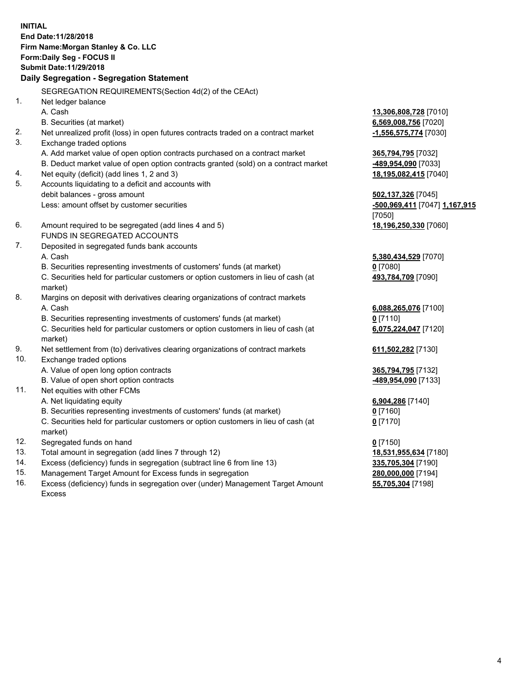**INITIAL End Date:11/28/2018 Firm Name:Morgan Stanley & Co. LLC Form:Daily Seg - FOCUS II Submit Date:11/29/2018 Daily Segregation - Segregation Statement** SEGREGATION REQUIREMENTS(Section 4d(2) of the CEAct) 1. Net ledger balance A. Cash **13,306,808,728** [7010] B. Securities (at market) **6,569,008,756** [7020] 2. Net unrealized profit (loss) in open futures contracts traded on a contract market **-1,556,575,774** [7030] 3. Exchange traded options A. Add market value of open option contracts purchased on a contract market **365,794,795** [7032] B. Deduct market value of open option contracts granted (sold) on a contract market **-489,954,090** [7033] 4. Net equity (deficit) (add lines 1, 2 and 3) **18,195,082,415** [7040] 5. Accounts liquidating to a deficit and accounts with debit balances - gross amount **502,137,326** [7045] Less: amount offset by customer securities **-500,969,411** [7047] **1,167,915** [7050] 6. Amount required to be segregated (add lines 4 and 5) **18,196,250,330** [7060] FUNDS IN SEGREGATED ACCOUNTS 7. Deposited in segregated funds bank accounts A. Cash **5,380,434,529** [7070] B. Securities representing investments of customers' funds (at market) **0** [7080] C. Securities held for particular customers or option customers in lieu of cash (at market) **493,784,709** [7090] 8. Margins on deposit with derivatives clearing organizations of contract markets A. Cash **6,088,265,076** [7100] B. Securities representing investments of customers' funds (at market) **0** [7110] C. Securities held for particular customers or option customers in lieu of cash (at market) **6,075,224,047** [7120] 9. Net settlement from (to) derivatives clearing organizations of contract markets **611,502,282** [7130] 10. Exchange traded options A. Value of open long option contracts **365,794,795** [7132] B. Value of open short option contracts **-489,954,090** [7133] 11. Net equities with other FCMs A. Net liquidating equity **6,904,286** [7140] B. Securities representing investments of customers' funds (at market) **0** [7160] C. Securities held for particular customers or option customers in lieu of cash (at market) **0** [7170] 12. Segregated funds on hand **0** [7150] 13. Total amount in segregation (add lines 7 through 12) **18,531,955,634** [7180] 14. Excess (deficiency) funds in segregation (subtract line 6 from line 13) **335,705,304** [7190]

- 15. Management Target Amount for Excess funds in segregation **280,000,000** [7194]
- 16. Excess (deficiency) funds in segregation over (under) Management Target Amount Excess

**55,705,304** [7198]